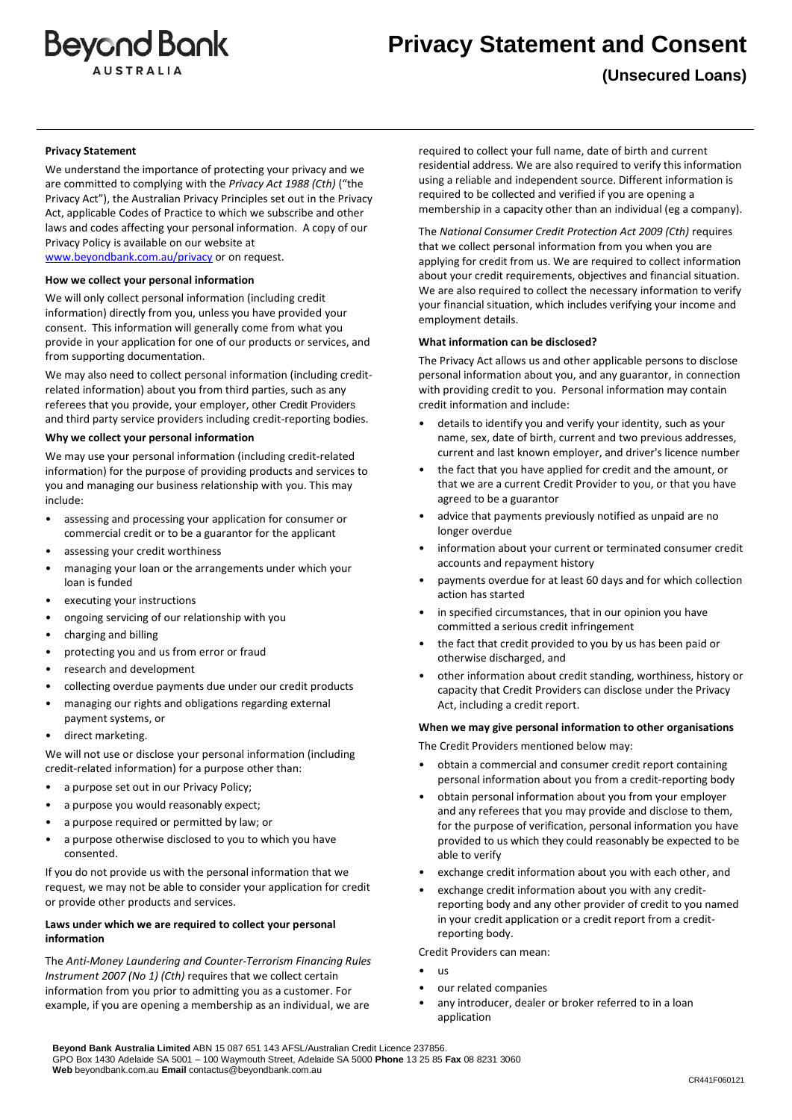

# **Privacy Statement and Consent**

**(Unsecured Loans)**

## **Privacy Statement**

We understand the importance of protecting your privacy and we are committed to complying with the *Privacy Act 1988 (Cth)* ("the Privacy Act"), the Australian Privacy Principles set out in the Privacy Act, applicable Codes of Practice to which we subscribe and other laws and codes affecting your personal information. A copy of our Privacy Policy is available on our website at [www.beyondbank.com.au/privacy](http://www.beyondbank.com.au/privacy) or on request.

**How we collect your personal information**

We will only collect personal information (including credit information) directly from you, unless you have provided your consent. This information will generally come from what you provide in your application for one of our products or services, and from supporting documentation.

We may also need to collect personal information (including creditrelated information) about you from third parties, such as any referees that you provide, your employer, other Credit Providers and third party service providers including credit-reporting bodies.

#### **Why we collect your personal information**

We may use your personal information (including credit-related information) for the purpose of providing products and services to you and managing our business relationship with you. This may include:

- assessing and processing your application for consumer or commercial credit or to be a guarantor for the applicant
- assessing your credit worthiness
- managing your loan or the arrangements under which your loan is funded
- executing your instructions
- ongoing servicing of our relationship with you
- charging and billing
- protecting you and us from error or fraud
- research and development
- collecting overdue payments due under our credit products
- managing our rights and obligations regarding external payment systems, or
- direct marketing.

We will not use or disclose your personal information (including credit-related information) for a purpose other than:

- a purpose set out in our Privacy Policy;
- a purpose you would reasonably expect;
- a purpose required or permitted by law; or
- a purpose otherwise disclosed to you to which you have consented.

If you do not provide us with the personal information that we request, we may not be able to consider your application for credit or provide other products and services.

# **Laws under which we are required to collect your personal information**

The *Anti-Money Laundering and Counter-Terrorism Financing Rules Instrument 2007 (No 1) (Cth)* requires that we collect certain information from you prior to admitting you as a customer. For example, if you are opening a membership as an individual, we are required to collect your full name, date of birth and current residential address. We are also required to verify this information using a reliable and independent source. Different information is required to be collected and verified if you are opening a membership in a capacity other than an individual (eg a company).

The *National Consumer Credit Protection Act 2009 (Cth)* requires that we collect personal information from you when you are applying for credit from us. We are required to collect information about your credit requirements, objectives and financial situation. We are also required to collect the necessary information to verify your financial situation, which includes verifying your income and employment details.

#### **What information can be disclosed?**

The Privacy Act allows us and other applicable persons to disclose personal information about you, and any guarantor, in connection with providing credit to you. Personal information may contain credit information and include:

- details to identify you and verify your identity, such as your name, sex, date of birth, current and two previous addresses, current and last known employer, and driver's licence number
- the fact that you have applied for credit and the amount, or that we are a current Credit Provider to you, or that you have agreed to be a guarantor
- advice that payments previously notified as unpaid are no longer overdue
- information about your current or terminated consumer credit accounts and repayment history
- payments overdue for at least 60 days and for which collection action has started
- in specified circumstances, that in our opinion you have committed a serious credit infringement
- the fact that credit provided to you by us has been paid or otherwise discharged, and
- other information about credit standing, worthiness, history or capacity that Credit Providers can disclose under the Privacy Act, including a credit report.

#### **When we may give personal information to other organisations**

The Credit Providers mentioned below may:

- obtain a commercial and consumer credit report containing personal information about you from a credit-reporting body
- obtain personal information about you from your employer and any referees that you may provide and disclose to them, for the purpose of verification, personal information you have provided to us which they could reasonably be expected to be able to verify
- exchange credit information about you with each other, and
- exchange credit information about you with any creditreporting body and any other provider of credit to you named in your credit application or a credit report from a creditreporting body.

Credit Providers can mean:

- us
- our related companies
- any introducer, dealer or broker referred to in a loan application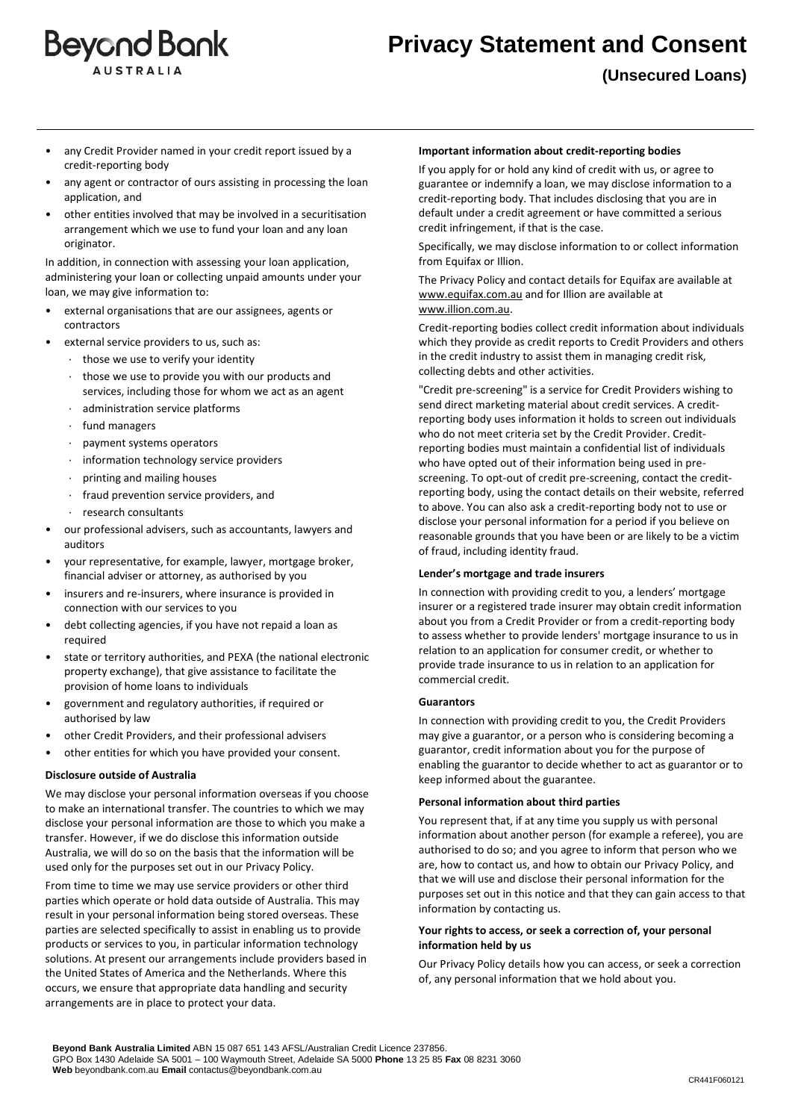

- any Credit Provider named in your credit report issued by a credit-reporting body
- any agent or contractor of ours assisting in processing the loan application, and
- other entities involved that may be involved in a securitisation arrangement which we use to fund your loan and any loan originator.

In addition, in connection with assessing your loan application, administering your loan or collecting unpaid amounts under your loan, we may give information to:

- external organisations that are our assignees, agents or contractors
- external service providers to us, such as:
	- · those we use to verify your identity
	- those we use to provide you with our products and services, including those for whom we act as an agent
	- administration service platforms
	- fund managers
	- · payment systems operators
	- information technology service providers
	- · printing and mailing houses
	- · fraud prevention service providers, and
	- · research consultants
- our professional advisers, such as accountants, lawyers and auditors
- your representative, for example, lawyer, mortgage broker, financial adviser or attorney, as authorised by you
- insurers and re-insurers, where insurance is provided in connection with our services to you
- debt collecting agencies, if you have not repaid a loan as required
- state or territory authorities, and PEXA (the national electronic property exchange), that give assistance to facilitate the provision of home loans to individuals
- government and regulatory authorities, if required or authorised by law
- other Credit Providers, and their professional advisers
- other entities for which you have provided your consent.

# **Disclosure outside of Australia**

We may disclose your personal information overseas if you choose to make an international transfer. The countries to which we may disclose your personal information are those to which you make a transfer. However, if we do disclose this information outside Australia, we will do so on the basis that the information will be used only for the purposes set out in our Privacy Policy.

From time to time we may use service providers or other third parties which operate or hold data outside of Australia. This may result in your personal information being stored overseas. These parties are selected specifically to assist in enabling us to provide products or services to you, in particular information technology solutions. At present our arrangements include providers based in the United States of America and the Netherlands. Where this occurs, we ensure that appropriate data handling and security arrangements are in place to protect your data.

#### **Important information about credit-reporting bodies**

If you apply for or hold any kind of credit with us, or agree to guarantee or indemnify a loan, we may disclose information to a credit-reporting body. That includes disclosing that you are in default under a credit agreement or have committed a serious credit infringement, if that is the case.

Specifically, we may disclose information to or collect information from Equifax or Illion.

The Privacy Policy and contact details for Equifax are available at [www.equifax.com.au](http://www.equifax.com.au/) and for Illion are available at [www.illion.com.au.](www.illion.com.au)

Credit-reporting bodies collect credit information about individuals which they provide as credit reports to Credit Providers and others in the credit industry to assist them in managing credit risk, collecting debts and other activities.

"Credit pre-screening" is a service for Credit Providers wishing to send direct marketing material about credit services. A creditreporting body uses information it holds to screen out individuals who do not meet criteria set by the Credit Provider. Creditreporting bodies must maintain a confidential list of individuals who have opted out of their information being used in prescreening. To opt-out of credit pre-screening, contact the creditreporting body, using the contact details on their website, referred to above. You can also ask a credit-reporting body not to use or disclose your personal information for a period if you believe on reasonable grounds that you have been or are likely to be a victim of fraud, including identity fraud.

# **Lender's mortgage and trade insurers**

In connection with providing credit to you, a lenders' mortgage insurer or a registered trade insurer may obtain credit information about you from a Credit Provider or from a credit-reporting body to assess whether to provide lenders' mortgage insurance to us in relation to an application for consumer credit, or whether to provide trade insurance to us in relation to an application for commercial credit.

# **Guarantors**

In connection with providing credit to you, the Credit Providers may give a guarantor, or a person who is considering becoming a guarantor, credit information about you for the purpose of enabling the guarantor to decide whether to act as guarantor or to keep informed about the guarantee.

#### **Personal information about third parties**

You represent that, if at any time you supply us with personal information about another person (for example a referee), you are authorised to do so; and you agree to inform that person who we are, how to contact us, and how to obtain our Privacy Policy, and that we will use and disclose their personal information for the purposes set out in this notice and that they can gain access to that information by contacting us.

# **Your rights to access, or seek a correction of, your personal information held by us**

Our Privacy Policy details how you can access, or seek a correction of, any personal information that we hold about you.